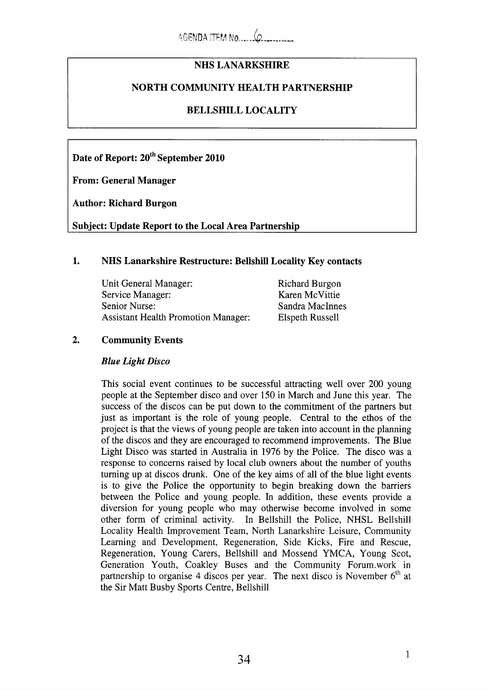# **NHS LANARKSHIRE**

### **NORTH COMMUNITY HEALTH PARTNERSHIP**

# **BELLSHILL LOCALITY**

Date of Report:  $20<sup>th</sup>$  September 2010

**From: General Manager** 

**Author: Richard Burgon** 

<sup>I</sup>**Subject: Update Report to the Local Area Partnershir,** 

#### **1. NHS Lanarkshire Restructure: Bellshill Locality Key contacts**

Unit General Manager: Service Manager: Senior Nurse: Assistant Health Promotion Manager:

Richard Burgon Karen McVittie Sandra MacInnes Elspeth Russell

### **2. Community Events**

#### *Blue Light Disco*

This social event continues to be successful attracting well over 200 young people at the September disco and over 150 in March and June this year. The success of the discos can be put down to the commitment of the partners but just as important is the role of young people. Central to the ethos of the project is that the views of young people are taken into account in the planning of the discos and they are encouraged to recommend improvements. The Blue Light Disco was started in Australia in 1976 by the Police. The disco was a response to concerns raised by local club owners about the number of youths turning up at discos drunk. One of the key aims of all of the blue light events is to give the Police the opportunity to begin breaking down the barriers between the Police and young people. In addition, these events provide a diversion for young people who may otherwise become involved in some other form of criminal activity. In Bellshill the Police, NHSL Bellshill Locality Health Improvement Team, North Lanarkshire Leisure, Community Learning and Development, Regeneration, Side Kicks, Fire and Rescue, Regeneration, Young Carers, Bellshill and Mossend YMCA, Young Scot, Generation Youth, Coakley Buses and the Community Forum.work in partnership to organise 4 discos per year. The next disco is November  $6<sup>th</sup>$  at the Sir Matt Busby Sports Centre, Bellshill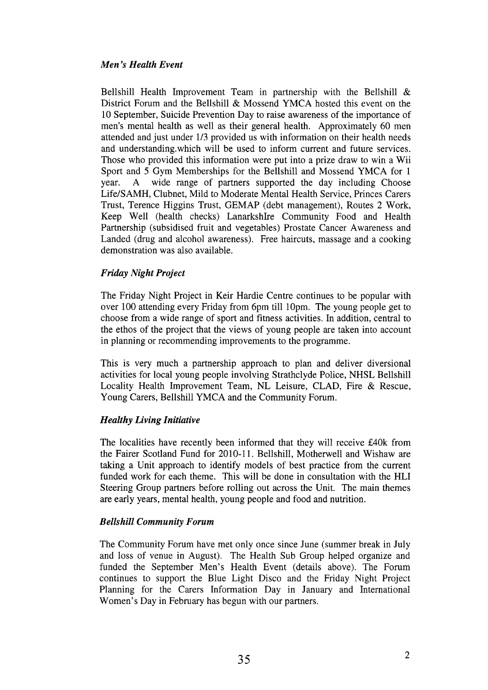#### *Men's Health Event*

Bellshill Health Improvement Team in partnership with the Bellshill  $\&$ District Forum and the Bellshill & Mossend YMCA hosted this event on the 10 September, Suicide Prevention Day to raise awareness of the importance of men's mental health as well as their general health. Approximately 60 men attended and just under 1/3 provided us with information on their health needs and understanding.which will be used to inform current and future services. Those who provided this information were put into a prize draw to win a Wii Sport and 5 Gym Memberships for the Bellshill and Mossend YMCA for 1 year. A wide range of partners supported the day including Choose Life/SAMH, Clubnet, Mild to Moderate Mental Health Service, Princes Carers Trust, Terence Higgins Trust, GEMAP (debt management), Routes 2 Work, Keep Well (health checks) LanarkshIre Community Food and Health Partnership (subsidised fruit and vegetables) Prostate Cancer Awareness and Landed (drug and alcohol awareness). Free haircuts, massage and a cooking demonstration was also available. A

#### *Friday Night Project*

The Friday Night Project in Keir Hardie Centre continues to be popular with over 100 attending every Friday from 6pm till 10pm. The young people get to choose from a wide range of sport and fitness activities. In addition, central to the ethos of the project that the views of young people are taken into account in planning or recommending improvements to the programme.

This is very much a partnership approach to plan and deliver diversional activities for local young people involving Strathclyde Police, NHSL Bellshill Locality Health Improvement Team, NL Leisure, CLAD, Fire & Rescue, Young Carers, Bellshill YMCA and the Community Forum.

#### *Healthy Living Initiative*

The localities have recently been informed that they will receive E40k from the Fairer Scotland Fund for 2010-11. Bellshill, Motherwell and Wishaw are taking a Unit approach to identify models of best practice from the current funded work for each theme. This will be done in consultation with the HLI Steering Group partners before rolling out across the Unit. The main themes are early years, mental health, young people and food and nutrition.

#### *Bellshill Community Forum*

The Community Forum have met only once since June (summer break in July and loss of venue in August). The Health Sub Group helped organize and funded the September Men's Health Event (details above). The Forum continues to support the Blue Light Disco and the Friday Night Project Planning for the Carers Information Day in January and International Women's Day in February has begun with our partners.